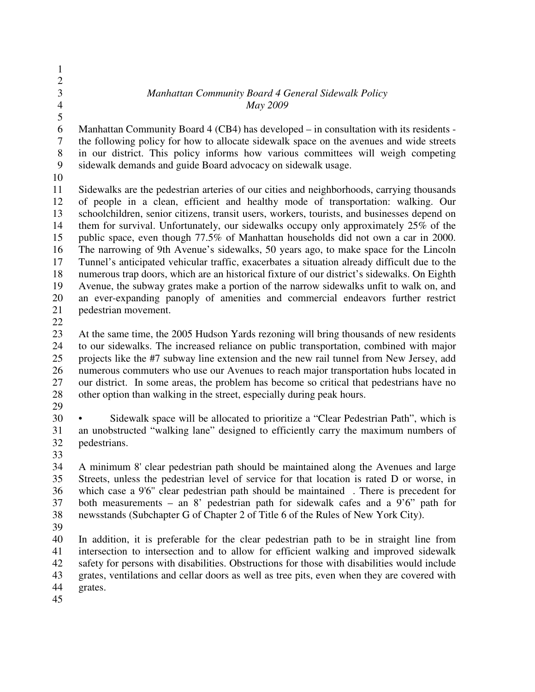## 3 *Manhattan Community Board 4 General Sidewalk Policy* 4 *May 2009*

5

1 2

6 Manhattan Community Board 4 (CB4) has developed – in consultation with its residents - 7 the following policy for how to allocate sidewalk space on the avenues and wide streets 8 in our district. This policy informs how various committees will weigh competing 9 sidewalk demands and guide Board advocacy on sidewalk usage.

10

11 Sidewalks are the pedestrian arteries of our cities and neighborhoods, carrying thousands 12 of people in a clean, efficient and healthy mode of transportation: walking. Our 13 schoolchildren, senior citizens, transit users, workers, tourists, and businesses depend on 14 them for survival. Unfortunately, our sidewalks occupy only approximately 25% of the 15 public space, even though 77.5% of Manhattan households did not own a car in 2000. 16 The narrowing of 9th Avenue's sidewalks, 50 years ago, to make space for the Lincoln 17 Tunnel's anticipated vehicular traffic, exacerbates a situation already difficult due to the 18 numerous trap doors, which are an historical fixture of our district's sidewalks. On Eighth 19 Avenue, the subway grates make a portion of the narrow sidewalks unfit to walk on, and 20 an ever-expanding panoply of amenities and commercial endeavors further restrict 21 pedestrian movement.

22

23 At the same time, the 2005 Hudson Yards rezoning will bring thousands of new residents 24 to our sidewalks. The increased reliance on public transportation, combined with major 25 projects like the #7 subway line extension and the new rail tunnel from New Jersey, add 26 numerous commuters who use our Avenues to reach major transportation hubs located in 27 our district. In some areas, the problem has become so critical that pedestrians have no 28 other option than walking in the street, especially during peak hours.

29

30 • Sidewalk space will be allocated to prioritize a "Clear Pedestrian Path", which is 31 an unobstructed "walking lane" designed to efficiently carry the maximum numbers of pedestrians. pedestrians.

33

34 A minimum 8' clear pedestrian path should be maintained along the Avenues and large 35 Streets, unless the pedestrian level of service for that location is rated D or worse, in 36 which case a 9'6'' clear pedestrian path should be maintained . There is precedent for 37 both measurements – an 8' pedestrian path for sidewalk cafes and a 9'6" path for 38 newsstands (Subchapter G of Chapter 2 of Title 6 of the Rules of New York City).

39

40 In addition, it is preferable for the clear pedestrian path to be in straight line from 41 intersection to intersection and to allow for efficient walking and improved sidewalk 42 safety for persons with disabilities. Obstructions for those with disabilities would include 43 grates, ventilations and cellar doors as well as tree pits, even when they are covered with 44 grates.

45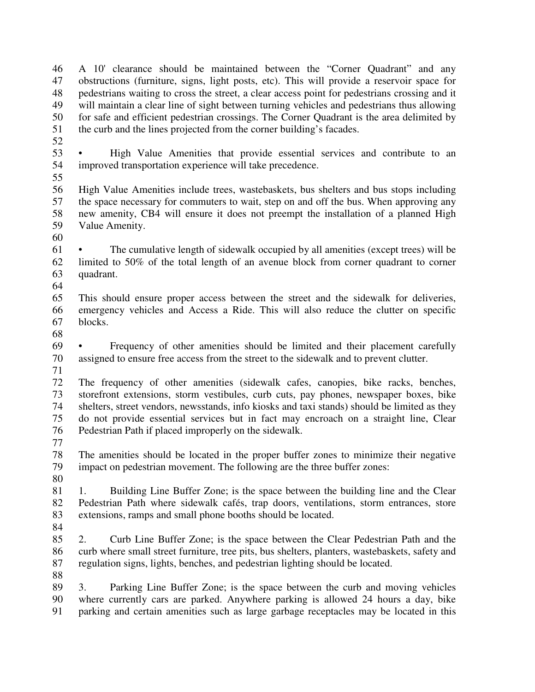46 A 10' clearance should be maintained between the "Corner Quadrant" and any 47 obstructions (furniture, signs, light posts, etc). This will provide a reservoir space for 48 pedestrians waiting to cross the street, a clear access point for pedestrians crossing and it 49 will maintain a clear line of sight between turning vehicles and pedestrians thus allowing 50 for safe and efficient pedestrian crossings. The Corner Quadrant is the area delimited by 51 the curb and the lines projected from the corner building's facades.

52

53 • High Value Amenities that provide essential services and contribute to an 54 improved transportation experience will take precedence.

55

56 High Value Amenities include trees, wastebaskets, bus shelters and bus stops including 57 the space necessary for commuters to wait, step on and off the bus. When approving any 58 new amenity, CB4 will ensure it does not preempt the installation of a planned High 59 Value Amenity.

60

61 • The cumulative length of sidewalk occupied by all amenities (except trees) will be 62 limited to 50% of the total length of an avenue block from corner quadrant to corner 63 quadrant.

64

65 This should ensure proper access between the street and the sidewalk for deliveries, 66 emergency vehicles and Access a Ride. This will also reduce the clutter on specific 67 blocks.

68

69 • Frequency of other amenities should be limited and their placement carefully 70 assigned to ensure free access from the street to the sidewalk and to prevent clutter.

71

72 The frequency of other amenities (sidewalk cafes, canopies, bike racks, benches, 73 storefront extensions, storm vestibules, curb cuts, pay phones, newspaper boxes, bike 74 shelters, street vendors, newsstands, info kiosks and taxi stands) should be limited as they 75 do not provide essential services but in fact may encroach on a straight line, Clear 76 Pedestrian Path if placed improperly on the sidewalk.

77

78 The amenities should be located in the proper buffer zones to minimize their negative 79 impact on pedestrian movement. The following are the three buffer zones:

80

81 1. Building Line Buffer Zone; is the space between the building line and the Clear 82 Pedestrian Path where sidewalk cafés, trap doors, ventilations, storm entrances, store 83 extensions, ramps and small phone booths should be located.

84

85 2. Curb Line Buffer Zone; is the space between the Clear Pedestrian Path and the 86 curb where small street furniture, tree pits, bus shelters, planters, wastebaskets, safety and 87 regulation signs, lights, benches, and pedestrian lighting should be located.

88

89 3. Parking Line Buffer Zone; is the space between the curb and moving vehicles 90 where currently cars are parked. Anywhere parking is allowed 24 hours a day, bike 91 parking and certain amenities such as large garbage receptacles may be located in this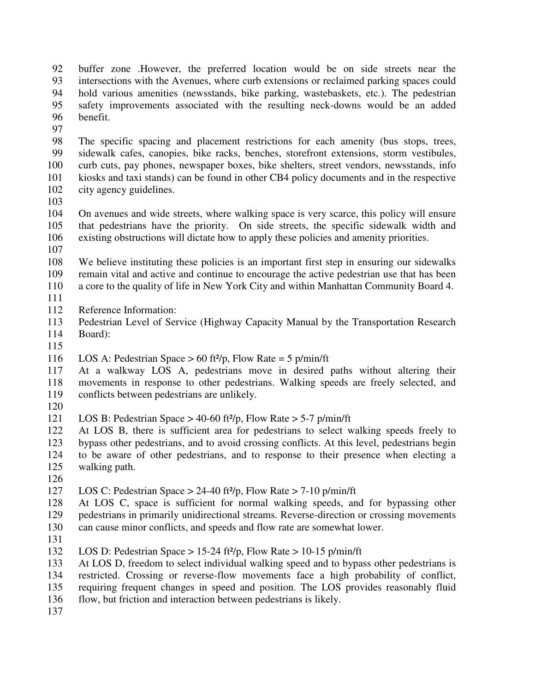92 buffer zone .However, the preferred location would be on side streets near the 93 intersections with the Avenues, where curb extensions or reclaimed parking spaces could 94 hold various amenities (newsstands, bike parking, wastebaskets, etc.). The pedestrian 95 safety improvements associated with the resulting neck-downs would be an added 96 benefit.

97

98 The specific spacing and placement restrictions for each amenity (bus stops, trees, 99 sidewalk cafes, canopies, bike racks, benches, storefront extensions, storm vestibules, 100 curb cuts, pay phones, newspaper boxes, bike shelters, street vendors, newsstands, info 101 kiosks and taxi stands) can be found in other CB4 policy documents and in the respective 102 city agency guidelines.

103

104 On avenues and wide streets, where walking space is very scarce, this policy will ensure 105 that pedestrians have the priority. On side streets, the specific sidewalk width and 106 existing obstructions will dictate how to apply these policies and amenity priorities.

107

108 We believe instituting these policies is an important first step in ensuring our sidewalks 109 remain vital and active and continue to encourage the active pedestrian use that has been 110 a core to the quality of life in New York City and within Manhattan Community Board 4.

- 111
- 112 Reference Information:
- 113 Pedestrian Level of Service (Highway Capacity Manual by the Transportation Research 114 Board):
- 115

116 LOS A: Pedestrian Space  $> 60$  ft<sup>2</sup>/p, Flow Rate = 5 p/min/ft

117 At a walkway LOS A, pedestrians move in desired paths without altering their 118 movements in response to other pedestrians. Walking speeds are freely selected, and 119 conflicts between pedestrians are unlikely.

120

121 LOS B: Pedestrian Space > 40-60 ft²/p, Flow Rate > 5-7 p/min/ft

122 At LOS B, there is sufficient area for pedestrians to select walking speeds freely to 123 bypass other pedestrians, and to avoid crossing conflicts. At this level, pedestrians begin 124 to be aware of other pedestrians, and to response to their presence when electing a 125 walking path.

126

127 LOS C: Pedestrian Space > 24-40 ft $\frac{2}{7}$ , Flow Rate > 7-10 p/min/ft

128 At LOS C, space is sufficient for normal walking speeds, and for bypassing other 129 pedestrians in primarily unidirectional streams. Reverse-direction or crossing movements 130 can cause minor conflicts, and speeds and flow rate are somewhat lower.

131

132 LOS D: Pedestrian Space > 15-24 ft²/p, Flow Rate > 10-15 p/min/ft

133 At LOS D, freedom to select individual walking speed and to bypass other pedestrians is 134 restricted. Crossing or reverse-flow movements face a high probability of conflict,

135 requiring frequent changes in speed and position. The LOS provides reasonably fluid

136 flow, but friction and interaction between pedestrians is likely.

137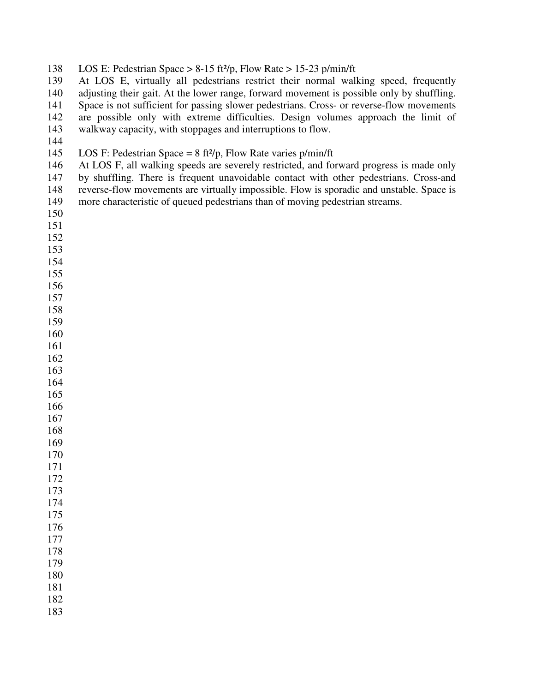| LOS E: Pedestrian Space > $8-15$ ft <sup>2</sup> /p, Flow Rate > 15-23 p/min/ft | 138 |  |  |  |  |  |
|---------------------------------------------------------------------------------|-----|--|--|--|--|--|
|---------------------------------------------------------------------------------|-----|--|--|--|--|--|

139 At LOS E, virtually all pedestrians restrict their normal walking speed, frequently 140 adjusting their gait. At the lower range, forward movement is possible only by shuffling. 141 Space is not sufficient for passing slower pedestrians. Cross- or reverse-flow movements 142 are possible only with extreme difficulties. Design volumes approach the limit of 143 walkway capacity, with stoppages and interruptions to flow.

## 145 LOS F: Pedestrian Space =  $8 \text{ ft}^2/\text{p}$ , Flow Rate varies  $\text{p/min/ft}$

146 At LOS F, all walking speeds are severely restricted, and forward progress is made only 147 by shuffling. There is frequent unavoidable contact with other pedestrians. Cross-and 148 reverse-flow movements are virtually impossible. Flow is sporadic and unstable. Space is 149 more characteristic of queued pedestrians than of moving pedestrian streams.